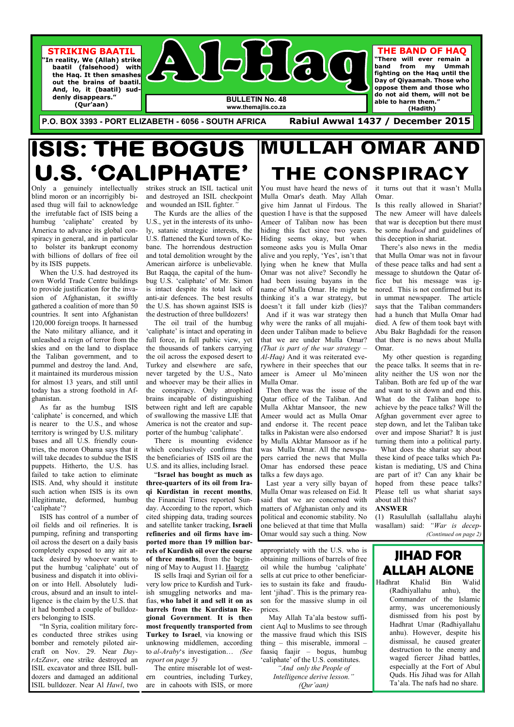**Al Haq Bulletin 48 Page 1** 

 $\bigcup$   $\bigcirc$   $\bigcirc$   $\bigcirc$ 

**BULLETIN No. 48 www.themajlis.co.za** 

**P.O. BOX 3393 - PORT ELIZABETH - 6056 - SOUTH AFRICA Rabiul Awwal 1437 / December 2015** 

# **ISIS: THE BOGUS** U.S. 'CALIPHATE'



**(Qur'aan)** 

**THE BAND OF HAQ "There will ever remain a band from my Ummah fighting on the Haq until the Day of Qiyaamah. Those who oppose them and those who do not aid them, will not be** 

**able to harm them."** 

**(Hadith)** 

Only a genuinely intellectually blind moron or an incorrigibly biased thug will fail to acknowledge the irrefutable fact of ISIS being a humbug 'caliphate' created by America to advance its global conspiracy in general, and in particular to bolster its bankrupt economy with billions of dollars of free oil by its ISIS puppets.

 When the U.S. had destroyed its own World Trade Centre buildings to provide justification for the invasion of Afghanistan, it swiftly gathered a coalition of more than 50 countries. It sent into Afghanistan 120,000 foreign troops. It harnessed the Nato military alliance, and it unleashed a reign of terror from the skies and on the land to displace the Taliban government, and to pummel and destroy the land. And, it maintained its murderous mission for almost 13 years, and still until today has a strong foothold in Afghanistan.

 As far as the humbug ISIS 'caliphate' is concerned, and which is nearer to the U.S., and whose territory is wringed by U.S. military bases and all U.S. friendly countries, the moron Obama says that it will take decades to subdue the ISIS puppets. Hitherto, the U.S. has failed to take action to eliminate ISIS. And, why should it institute such action when ISIS is its own illegitimate, deformed, humbug 'caliphate'?

 ISIS has control of a number of oil fields and oil refineries. It is pumping, refining and transporting oil across the desert on a daily basis completely exposed to any air attack desired by whoever wants to put the humbug 'caliphate' out of business and dispatch it into oblivion or into Hell. Absolutely ludicrous, absurd and an insult to intelligence is the claim by the U.S. that it had bombed a couple of bulldozers belonging to ISIS. "In Syria, coalition military forces conducted three strikes using bomber and remotely piloted aircraft on Nov. 29. Near *DayrAzZawr*, one strike destroyed an ISIL excavator and three ISIL bulldozers and damaged an additional ISIL bulldozer. Near Al *Hawl*, two

strikes struck an ISIL tactical unit and destroyed an ISIL checkpoint and wounded an ISIL fighter.*"* 

 The Kurds are the allies of the U.S., yet in the interests of its unholy, satanic strategic interests, the U.S. flattened the Kurd town of Kobane. The horrendous destruction and total demolition wrought by the American airforce is unbelievable. But Raqqa, the capital of the humbug U.S. 'caliphate' of Mr. Simon is intact despite its total lack of anti-air defences. The best results the U.S. has shown against ISIS is the destruction of three bulldozers!

 The oil trail of the humbug 'caliphate' is intact and operating in full force, in full public view, yet the thousands of tankers carrying the oil across the exposed desert to Turkey and elsewhere are safe, never targeted by the U.S., Nato and whoever may be their allies in the conspiracy. Only atrophied brains incapable of distinguishing between right and left are capable of swallowing the massive LIE that America is not the creator and supporter of the humbug 'caliphate'.

 There is mounting evidence which conclusively confirms that the beneficiaries of ISIS oil are the U.S. and its allies, including Israel.

 "**Israel has bought as much as three-quarters of its oil from Iraqi Kurdistan in recent months**, the Financial Times reported Sunday. According to the report, which cited shipping data, trading sources and satellite tanker tracking, **Israeli refineries and oil firms have imported more than 19 million barrels of Kurdish oil over the course of three months**, from the beginning of May to August 11. Haaretz IS sells Iraqi and Syrian oil for a very low price to Kurdish and Turkish smuggling networks and mafias, **who label it and sell it on as barrels from the Kurdistan Regional Government**. **It is then most frequently transported from Turkey to Israel**, via knowing or unknowing middlemen, according to *al-Araby*'s investigation… *(See report on page 5)* 

# **MULLAH OMAR AND** THE CONSPIRACY

 The entire miserable lot of western countries, including Turkey, are in cahoots with ISIS, or more appropriately with the U.S. who is obtaining millions of barrels of free oil while the humbug 'caliphate' sells at cut price to other beneficiaries to sustain its fake and fraudulent 'jihad'. This is the primary reason for the massive slump in oil prices.

 May Allah Ta'ala bestow sufficient Aql to Muslims to see through the massive fraud which this ISIS thing – this miserable, immoral – faasiq faajir – bogus, humbug 'caliphate' of the U.S. constitutes.

> *"And only the People of Intelligence derive lesson." (Qur'aan)*

You must have heard the news of Mulla Omar's death. May Allah give him Jannat ul Firdous. The question I have is that the supposed Ameer of Taliban now has been hiding this fact since two years. Hiding seems okay, but when someone asks you is Mulla Omar alive and you reply, 'Yes', isn't that lying when he knew that Mulla Omar was not alive? Secondly he had been issuing bayans in the name of Mulla Omar. He might be thinking it's a war strategy, but doesn't it fall under kizb (lies)?

 And if it was war strategy then why were the ranks of all mujahideen under Taliban made to believe that we are under Mulla Omar? *(That is part of the war strategy – Al-Haq)* And it was reiterated everywhere in their speeches that our ameer is Ameer ul Mo'mineen Mulla Omar.

 Then there was the issue of the Qatar office of the Taliban. And Mulla Akhtar Mansoor, the new Ameer would act as Mulla Omar and endorse it. The recent peace talks in Pakistan were also endorsed by Mulla Akhtar Mansoor as if he was Mulla Omar. All the newspapers carried the news that Mulla Omar has endorsed these peace talks a few days ago.

 Last year a very silly bayan of Mulla Omar was released on Eid. It said that we are concerned with matters of Afghanistan only and its political and economic stability. No one believed at that time that Mulla Omar would say such a thing. Now

it turns out that it wasn't Mulla Omar.

Is this really allowed in Shariat? The new Ameer will have daleels that war is deception but there must be some *hudood* and guidelines of this deception in shariat.

 There's also news in the media that Mulla Omar was not in favour of these peace talks and had sent a message to shutdown the Qatar office but his message was ignored. This is not confirmed but its in ummat newspaper. The article says that the Taliban commanders had a hunch that Mulla Omar had died. A few of them took bayt with Abu Bakr Baghdadi for the reason that there is no news about Mulla Omar.

 My other question is regarding the peace talks. It seems that in reality neither the US won nor the Taliban. Both are fed up of the war and want to sit down and end this. What do the Taliban hope to achieve by the peace talks? Will the Afghan government ever agree to step down, and let the Taliban take over and impose Shariat? It is just turning them into a political party.

 What does the shariat say about these kind of peace talks which Pakistan is mediating, US and China are part of it? Can any khair be hoped from these peace talks? Please tell us what shariat says about all this?

#### **ANSWER**

(1) Rasulullah (sallallahu alayhi wasallam) said: *"War is decep- (Continued on page 2)* 

## **JIHAD FOR ALLAH ALONE**

Hadhrat Khalid Bin Walid (Radhiyallahu anhu), the Commander of the Islamic army, was unceremoniously dismissed from his post by Hadhrat Umar (Radhiyallahu anhu). However, despite his dismissal, he caused greater destruction to the enemy and waged fiercer Jihad battles, especially at the Fort of Abul Quds. His Jihad was for Allah Ta'ala. The nafs had no share.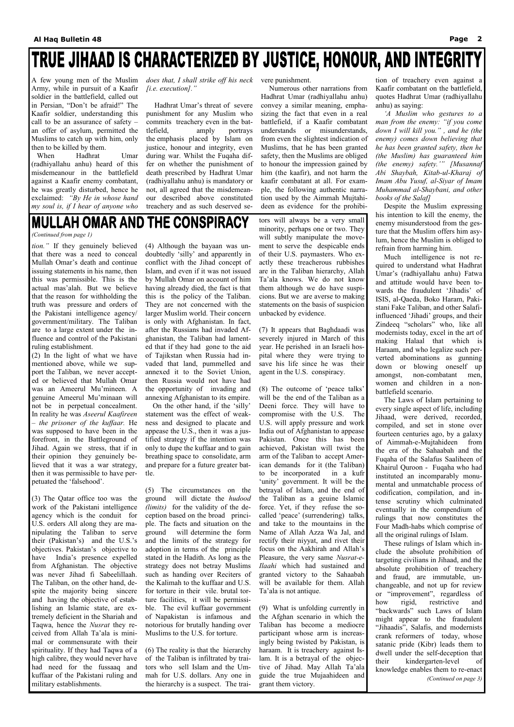# TRUE JIHAAD IS CHARACTERIZED BY JUSTICE, HONOUR, AND INTEGRITY

A few young men of the Muslim Army, while in pursuit of a Kaafir soldier in the battlefield, called out in Persian, "Don't be afraid!" The Kaafir soldier, understanding this call to be an assurance of safety – an offer of asylum, permitted the Muslims to catch up with him, only then to be killed by them.

 When Hadhrat Umar (radhiyallahu anhu) heard of this misdemeanour in the battlefield against a Kaafir enemy combatant, he was greatly disturbed, hence he exclaimed: *"By He in whose hand my soul is, if I hear of anyone who*  *does that, I shall strike off his neck [i.e. execution]."* 

 Hadhrat Umar's threat of severe punishment for any Muslim who commits treachery even in the battlefield, amply portrays the emphasis placed by Islam on justice, honour and integrity, even during war. Whilst the Fuqaha differ on whether the punishment of death prescribed by Hadhrat Umar (radhiyallahu anhu) is mandatory or not, all agreed that the misdemeanour described above constituted treachery and as such deserved se-

# **MULLAH OMAR AND THE CONSPIRACY**

vere punishment.

Numerous other narrations from

Hadhrat Umar (radhiyallahu anhu)

convey a similar meaning, emphasizing the fact that even in a real battlefield, if a Kaafir combatant understands or misunderstands, from even the slightest indication of Muslims, that he has been granted safety, then the Muslims are obliged to honour the impression gained by him (the kaafir), and not harm the kaafir combatant at all. For example, the following authentic narration used by the Aimmah Mujtahideen as evidence for the prohibi-

tion of treachery even against a Kaafir combatant on the battlefield, quotes Hadhrat Umar (radhiyallahu anhu) as saying:

 *'A Muslim who gestures to a man from the enemy: "if you come down I will kill you." , and he (the enemy) comes down believing that he has been granted safety, then he (the Muslim) has guaranteed him (the enemy) safety.'" [Musannaf Abi Shaybah, Kitab-ul-Kharaj of Imam Abu Yusuf, al-Siyar of Imam Muhammad al-Shaybani, and other books of the Salaf]* 

Despite the Muslim expressing his intention to kill the enemy, the enemy misunderstood from the gesture that the Muslim offers him asylum, hence the Muslim is obliged to refrain from harming him.

 Much intelligence is not required to understand what Hadhrat Umar's (radhiyallahu anhu) Fatwa and attitude would have been towards the fraudulent 'Jihadis' of ISIS, al-Qaeda, Boko Haram, Pakistani Fake Taliban, and other Salafiinfluenced 'Jihadi' groups, and their Zindeeq "scholars" who, like all modernists today, excel in the art of making Halaal that which is Haraam, and who legalize such perverted abominations as gunning down or blowing oneself up amongst, non-combatant men, women and children in a nonbattlefield scenario.

 The Laws of Islam pertaining to every single aspect of life, including Jihaad, were derived, recorded, compiled, and set in stone over fourteen centuries ago, by a galaxy of Aimmah-e-Mujtahideen from the era of the Sahaabah and the Fuqaha of the Salafus Saaliheen of Khairul Quroon - Fuqaha who had instituted an incomparably monumental and unmatchable process of codification, compilation, and intense scrutiny which culminated eventually in the compendium of rulings that now constitutes the Four Madh-habs which comprise of all the original rulings of Islam.

 These rulings of Islam which include the absolute prohibition of targeting civilians in Jihaad, and the absolute prohibition of treachery and fraud, are immutable, unchangeable, and not up for review or "improvement", regardless of how rigid, restrictive and "backwards" such Laws of Islam might appear to the fraudulent "Jihaadis", Salafis, and modernists crank reformers of today, whose satanic pride (Kibr) leads them to dwell under the self-deception that their kindergarten-level of knowledge enables them to re-enact *(Continued on page 3)* 

*tion."* If they genuinely believed that there was a need to conceal Mullah Omar's death and continue issuing statements in his name, then this was permissible. This is the actual mas'alah. But we believe that the reason for withholding the truth was pressure and orders of the Pakistani intelligence agency/ government/military. The Taliban are to a large extent under the influence and control of the Pakistani ruling establishment.

(2) In the light of what we have mentioned above, while we support the Taliban, we never accepted or believed that Mullah Omar was an Ameerul Mu'mineen. A genuine Ameerul Mu'minaan will not be in perpetual concealment. In reality he was *Aseerul Kaafireen – the prisoner of the kuffaar.* He was supposed to have been in the forefront, in the Battleground of Jihad. Again we stress, that if in their opinion they genuinely believed that it was a war strategy, then it was permissible to have perpetuated the 'falsehood'.

(3) The Qatar office too was the work of the Pakistani intelligence agency which is the conduit for U.S. orders All along they are manipulating the Taliban to serve their (Pakistan's) and the U.S.'s objectives. Pakistan's objective to have India's presence expelled from Afghanistan. The objective was never Jihad fi Sabeelillaah. The Taliban, on the other hand, despite the majority being sincere and having the objective of establishing an Islamic state, are extremely deficient in the Shariah and Taqwa, hence the *Nusrat* they received from Allah Ta'ala is minimal or commensurate with their spirituality. If they had Taqwa of a high calibre, they would never have had need for the fussaaq and kuffaar of the Pakistani ruling and military establishments.

(4) Although the bayaan was undoubtedly 'silly' and apparently in conflict with the Jihad concept of Islam, and even if it was not issued by Mullah Omar on account of him having already died, the fact is that this is the policy of the Taliban. They are not concerned with the larger Muslim world. Their concern is only with Afghanistan. In fact, after the Russians had invaded Afghanistan, the Taliban had lamented that if they had gone to the aid of Tajikstan when Russia had invaded that land, pummelled and annexed it to the Soviet Union, then Russia would not have had the opportunity of invading and annexing Afghanistan to its empire.

 On the other hand, if the 'silly' statement was the effect of weakness and designed to placate and appease the U.S., then it was a justified strategy if the intention was only to dupe the kuffaar and to gain breathing space to consolidate, arm and prepare for a future greater battle.

(5) The circumstances on the ground will dictate the *hudood (limits)* for the validity of the deception based on the broad principle. The facts and situation on the ground will determine the form and the limits of the strategy for adoption in terms of the principle stated in the Hadith. As long as the strategy does not betray Muslims such as handing over Reciters of the Kalimah to the kuffaar and U.S. for torture in their vile. brutal torture facilities, it will be permissible. The evil kuffaar government of Napakistan is infamous and notorious for brutally handing over Muslims to the U.S. for torture.

(6) The reality is that the hierarchy of the Taliban is infiltrated by traitors who sell Islam and the Ummah for U.S. dollars. Any one in the hierarchy is a suspect. The trai-

tors will always be a very small minority, perhaps one or two. They will subtly manipulate the movement to serve the despicable ends of their U.S. paymasters. Who exactly these treacherous rubbishes are in the Taliban hierarchy, Allah Ta'ala knows. We do not know them although we do have suspicions. But we are averse to making statements on the basis of suspicion unbacked by evidence.

(7) It appears that Baghdaadi was severely injured in March of this year. He perished in an Israeli hospital where they were trying to save his life since he was their agent in the U.S. conspiracy.

(8) The outcome of 'peace talks' will be the end of the Taliban as a Deeni force. They will have to compromise with the U.S. The U.S. will apply pressure and work India out of Afghanistan to appease Pakistan. Once this has been achieved, Pakistan will twist the arm of the Taliban to accept American demands for it (the Taliban) to be incorporated in a kufr 'unity' government. It will be the betrayal of Islam, and the end of the Taliban as a geuine Islamic force. Yet, if they refuse the socalled 'peace' (surrendering) talks, and take to the mountains in the Name of Allah Azza Wa Jal, and rectify their niyyat, and rivet their focus on the Aakhirah and Allah's Pleasure, the very same *Nusrat-e-Ilaahi* which had sustained and granted victory to the Sahaabah will be available for them. Allah Ta'ala is not antique.

(9) What is unfolding currently in the Afghan scenario in which the Taliban has become a mediocre participant whose arm is increasingly being twisted by Pakistan, is haraam. It is treachery against Islam. It is a betrayal of the objective of Jihad. May Allah Ta'ala guide the true Mujaahideen and grant them victory.

#### *(Continued from page 1)*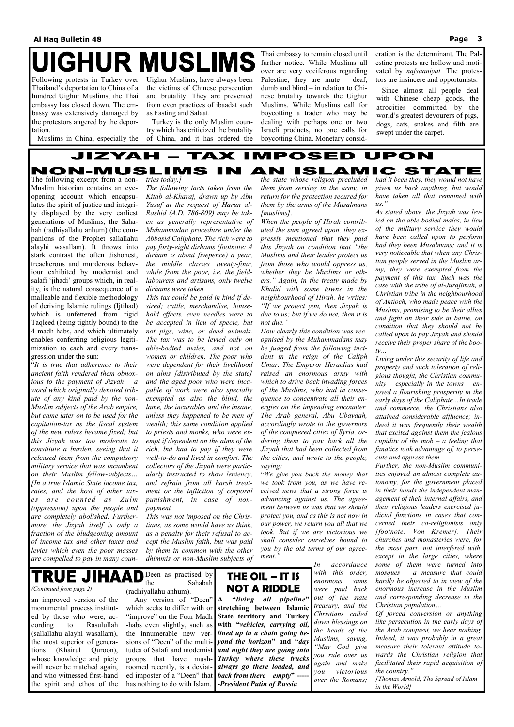# **IGHUR MUSLIMS**

Following protests in Turkey over Thailand's deportation to China of a hundred Uighur Muslims, the Thai embassy has closed down. The embassy was extensively damaged by the protestors angered by the deportation.

Muslims in China, especially the

Uighur Muslims, have always been the victims of Chinese persecution and brutality. They are prevented from even practices of ibaadat such as Fasting and Salaat.

 Turkey is the only Muslim country which has criticized the brutality of China, and it has ordered the Thai embassy to remain closed until further notice. While Muslims all over are very vociferous regarding Palestine, they are mute – deaf, dumb and blind – in relation to Chinese brutality towards the Uighur Muslims. While Muslims call for boycotting a trader who may be dealing with perhaps one or two Israeli products, no one calls for boycotting China. Monetary consideration is the determinant. The Palestine protests are hollow and motivated by *nafsaaniyat.* The protestors are insincere and opportunists.

 Since almost all people deal with Chinese cheap goods, the atrocities committed by the world's greatest devourers of pigs, dogs, cats, snakes and filth are swept under the carpet.

#### JIZYAI ТАХ MPOSED PON NON-MUSLIMS ISLAM C STATE AN

The following excerpt from a non-Muslim historian contains an eyeopening account which encapsulates the spirit of justice and integrity displayed by the very earliest generations of Muslims, the Sahahah (radhiyallahu anhum) (the companions of the Prophet sallallahu alayhi wasallam). It throws into stark contrast the often dishonest, treacherous and murderous behaviour exhibited by modernist and salafi 'jihadi' groups which, in reality, is the natural consequence of a malleable and flexible methodology of deriving Islamic rulings (Ijtihad) which is unfettered from rigid Taqleed (being tightly bound) to the 4 madh-habs, and which ultimately enables conferring religious legitimization to each and every transgression under the sun:

*tries today.]*

*The following facts taken from the Kitab al-Kharaj, drawn up by Abu Yusuf at the request of Harun al-Rashid (A.D. 786-809) may be taken as generally representative of Muhammadan procedure under the Abbasid Caliphate. The rich were to pay forty-eight dirhams (footnote: A dirham is about fivepence) a year, the middle classes twenty-four, while from the poor, i.e. the fieldlabourers and artisans, only twelve dirhams were taken.*

*This tax could be paid in kind if desired; cattle, merchandise, household effects, even needles were to be accepted in lieu of specie, but not pigs, wine, or dead animals. The tax was to be levied only on able-bodied males, and not on women or children. The poor who* 

*the state whose religion precluded them from serving in the army, in return for the protection secured for them by the arms of the Musalmans [muslims].*

*When the people of Hirah contributed the sum agreed upon, they expressly mentioned that they paid this Jizyah on condition that "the Muslims and their leader protect us from those who would oppress us, whether they be Muslims or others." Again, in the treaty made by Khalid with some towns in the neighbourhood of Hirah, he writes: "If we protect you, then Jizyah is due to us; but if we do not, then it is not due."*

*How clearly this condition was recognised by the Muhammadans may be judged from the following incident in the reign of the Caliph* 

"*It is true that adherence to their ancient faith rendered them obnoxious to the payment of Jizyah – a word which originally denoted tribute of any kind paid by the non-Muslim subjects of the Arab empire, but came later on to be used for the capitation-tax as the fiscal system of the new rulers became fixed; but this Jizyah was too moderate to constitute a burden, seeing that it released them from the compulsory military service that was incumbent on their Muslim fellow-subjects… [In a true Islamic State income tax, rates, and the host of other taxes are counted as Zulm (oppression) upon the people and are completely abolished. Furthermore, the Jizyah itself is only a fraction of the bludgeoning amount of income tax and other taxes and*  levies which even the poor masses by them in common with the other you by the old terms of our agree*are compelled to pay in many coun-dhimmis or non-Muslim subjects of ment." were dependent for their livelihood on alms [distributed by the state] and the aged poor who were incapable of work were also specially exempted as also the blind, the lame, the incurables and the insane, unless they happened to be men of wealth; this same condition applied to priests and monks, who were exempt if dependent on the alms of the rich, but had to pay if they were well-to-do and lived in comfort. The collectors of the Jizyah were particularly instructed to show leniency, and refrain from all harsh treatment or the infliction of corporal punishment, in case of nonpayment. This was not imposed on the Christians, as some would have us think, as a penalty for their refusal to accept the Muslim faith, but was paid Umar. The Emperor Heraclius had raised an enormous army with which to drive back invading forces of the Muslims, who had in consequence to concentrate all their energies on the impending encounter. The Arab general, Abu Ubaydah, accordingly wrote to the governors of the conquered cities of Syria, ordering them to pay back all the Jizyah that had been collected from the cities, and wrote to the people, saying:* "*We give you back the money that we took from you, as we have received news that a strong force is advancing against us. The agreement between us was that we should protect you, and as this is not now in our power, we return you all that we took. But if we are victorious we shall consider ourselves bound to In accordance with this order, enormous sums were paid back out of the state treasury, and the Christians called down blessings on the heads of the Muslims, saying, "May God give you rule over us again and make you victorious over the Romans; property and such toleration of religious thought, the Christian community – especially in the towns – enjoyed a flourishing prosperity in the early days of the Caliphate…In trade and commerce, the Christians also attained considerable affluence; indeed it was frequently their wealth that excited against them the jealous cupidity of the mob – a feeling that fanatics took advantage of, to persecute and oppress them. Further, the non-Muslim communities enjoyed an almost complete autonomy, for the government placed in their hands the independent management of their internal affairs, and their religious leaders exercised judicial functions in cases that concerned their co-religionists only [footnote: Von Kremer]. Their churches and monasteries were, for the most part, not interfered with, except in the large cities, where some of them were turned into mosques – a measure that could hardly be objected to in view of the enormous increase in the Muslim and corresponding decrease in the Christian population… Of forced conversion or anything like persecution in the early days of the Arab conquest, we hear nothing. Indeed, it was probably in a great measure their tolerant attitude towards the Christian religion that facilitated their rapid acquisition of the country." [Thomas Arnold, The Spread of Islam in the World]* an improved version of the monumental process instituted by those who were, according to Rasulullah (sallallahu alayhi wasallam), the most superior of generations (Khairul Quroon), whose knowledge and piety will never be matched again, and who witnessed first-hand the spirit and ethos of the Deen as practised by the Sahabah (radhiyallahu anhum). Any version of "Deen" which seeks to differ with or "improve" on the Four Madh -habs even slightly, such as the innumerable new versions of "Deen" of the multitudes of Salafi and modernist groups that have mushroomed recently, is a deviated imposter of a "Deen" that has nothing to do with Islam. *(Continued from page 2)*  **THE OIL – IT IS NOT A RIDDLE A "***living oil pipeline***" stretching between Islamic State territory and Turkey with "***vehicles, carrying oil, lined up in a chain going beyond the horizon***" and "***day and night they are going into Turkey where these trucks always go there loaded, and back from there – empty*<sup> $\cdot$ </sup> --**-***President Putin of Russia* 

*had it been they, they would not have given us back anything, but would have taken all that remained with us."* 

*As stated above, the Jizyah was levied on the able-bodied males, in lieu of the military service they would have been called upon to perform had they been Musalmans; and it is very noticeable that when any Christian people served in the Muslim army, they were exempted from the payment of this tax. Such was the case with the tribe of al-Jurajimah, a Christian tribe in the neighbourhood of Antioch, who made peace with the Muslims, promising to be their allies and fight on their side in battle, on condition that they should not be called upon to pay Jizyah and should receive their proper share of the booty…*

*Living under this security of life and*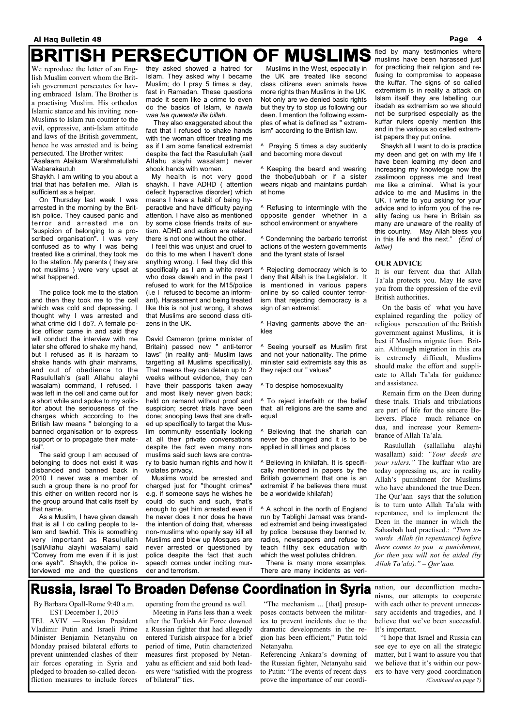## **BRITISH PERSECUTION OF MUSLIMS**

We reproduce the letter of an English Muslim convert whom the British government persecutes for having embraced Islam. The Brother is a practising Muslim. His orthodox Islamic stance and his inviting non-Muslims to Islam run counter to the evil, oppressive, anti-Islam attitude and laws of the British government, hence he was arrested and is being persecuted. The Brother writes: "Asalaam Alaikam Warahmatullahi Wabarakautuh

Shaykh. I am writing to you about a trial that has befallen me. Allah is sufficient as a helper.

 On Thursday last week I was arrested in the morning by the British police. They caused panic and terror and arrested me on "suspicion of belonging to a proscribed organisation". I was very confused as to why I was being treated like a criminal, they took me to the station. My parents ( they are not muslims ) were very upset at what happened.

 The police took me to the station and then they took me to the cell which was cold and depressing. I thought why I was arrested and what crime did I do?. A female police officer came in and said they will conduct the interview with me later she offered to shake my hand, but I refused as it is haraam to shake hands with ghair mahrams, and out of obedience to the Rasulullah's (sall Allahu alayhi wasalam) command, I refused. I was left in the cell and came out for a short while and spoke to my solicitor about the seriousness of the charges which according to the British law means " belonging to a banned organisation or to express support or to propagate their material".

 The said group I am accused of belonging to does not exist it was disbanded and banned back in 2010 I never was a member of such a group there is no proof for this either on written record nor is the group around that calls itself by that name.

they asked showed a hatred for Islam. They asked why I became Muslim; do I pray 5 times a day, fast in Ramadan. These questions made it seem like a crime to even do the basics of Islam, *la hawla waa laa quwwata illa billah.*

 They also exaggerated about the fact that I refused to shake hands with the woman officer treating me as if I am some fanatical extremist despite the fact the Rasulullah (sall Allahu alayhi wasalam) never shook hands with women.

 My health is not very good shaykh. I have ADHD ( attention defecit hyperactive disorder) which means I have a habit of being hyperactive and have difficulty paying attention. I have also as mentioned by some close friends traits of autism. ADHD and autism are related there is not one without the other.

 As a Muslim, I have given dawah that is all I do calling people to Islam and tawhid. This is something very important as Rasulullah (sallAllahu alayhi wasalam) said "Convey from me even if it is just one ayah". Shaykh, the police interviewed me and the questions police despite the fact that such speech comes under inciting murder and terrorism.

 I feel this was unjust and cruel to do this to me when I haven't done anything wrong. I feel they did this specifically as I am a white revert who does dawah and in the past I refused to work for the M15/police (i.e I refused to become an informant). Harassment and being treated like this is not just wrong, it shows that Muslims are second class citizens in the UK.

David Cameron (prime minister of Britain) passed new " anti-terror laws" (in reality anti- Muslim laws targetting all Muslims specifically). That means they can detain up to 2 weeks without evidence, they can have their passports taken away and most likely never given back; held on remand without proof and suspicion; secret trials have been done; snooping laws that are drafted up specifically to target the Muslim community essentially looking at all their private conversations despite the fact even many nonmuslims said such laws are contrary to basic human rights and how it violates privacy.

 Muslims would be arrested and charged just for "thought crimes" e.g. if someone says he wishes he could do such and such, that's enough to get him arrested even if he never does it nor does he have the intention of doing that, whereas non-muslims who openly say kill all Muslims and blow up Mosques are never arrested or questioned by

 Muslims in the West, especially in the UK are treated like second class citizens even animals have more rights than Muslims in the UK. Not only are we denied basic rights but they try to stop us following our deen. I mention the following examples of what is defined as " extremism" according to the British law.

^ Praying 5 times a day suddenly and becoming more devout

^ Keeping the beard and wearing the thobe/jubbah or if a sister wears niqab and maintains purdah at home

^ Refusing to intermingle with the opposite gender whether in a school environment or anywhere

^ Condemning the barbaric terrorist actions of the western governments and the tyrant state of Israel

^ Rejecting democracy which is to deny that Allah is the Legislator. It is mentioned in various papers online by so called counter terrorism that rejecting democracy is a sign of an extremist.

^ Having garments above the ankles

^ Seeing yourself as Muslim first and not your nationality. The prime minister said extremists say this as they reject our " values"

^ To despise homosexuality

^ To reject interfaith or the belief that all religions are the same and equal

^ Believing that the shariah can never be changed and it is to be applied in all times and places

^ Believing in khilafah. It is specifically mentioned in papers by the British government that one is an extremist if he believes there must be a worldwide khilafah)

^ A school in the north of England run by Tablighi Jamaat was branded extremist and being investigated by police because they banned tv, radios, newspapers and refuse to teach filthy sex education with which the west pollutes children. There is many more examples. There are many incidents as verified by many testimonies where muslims have been harassed just for practicing their religion and refusing to compromise to appease the kuffar. The signs of so called extremism is in reality a attack on Islam itself they are labelling our ibadah as extremism so we should not be surprised especially as the kuffar rulers openly mention this and in the various so called extremist papers they put online.

 Shaykh all I want to do is practice my deen and get on with my life I have been learning my deen and increasing my knowledge now the zaalimoon oppress me and treat me like a criminal. What is your advice to me and Muslims in the UK. I write to you asking for your advice and to inform you of the reality facing us here in Britain as many are unaware of the reality of this country. May Allah bless you in this life and the next." *(End of letter)* 

#### **OUR ADVICE**

It is our fervent dua that Allah Ta'ala protects you. May He save you from the oppression of the evil British authorities.

 On the basis of what you have explained regarding the policy of religious persecution of the British government against Muslims, it is best if Muslims migrate from Britain. Although migration in this era is extremely difficult, Muslims should make the effort and supplicate to Allah Ta'ala for guidance and assistance.

 Remain firm on the Deen during these trials. Trials and tribulations are part of life for the sincere Believers. Place much reliance on dua, and increase your Remembrance of Allah Ta'ala.

 Rasulullah (sallallahu alayhi wasallam) said: *"Your deeds are your rulers."* The kuffaar who are today oppressing us, are in reality Allah's punishment for Muslims who have abandoned the true Deen. The Qur'aan says that the solution is to turn unto Allah Ta'ala with repentance, and to implement the Deen in the manner in which the Sahaabah had practised.: *"Turn towards Allah (in repentance) before there comes to you a punishment, for then you will not be aided (by Allah Ta'ala)." – Qur'aan.* 

## **Russia, Israel To Broaden Defense Coordination in Syria**

By Barbara Opall-Rome 9:40 a.m. EST December 1, 2015 TEL AVIV — Russian President Vladimir Putin and Israeli Prime Minister Benjamin Netanyahu on Monday praised bilateral efforts to prevent unintended clashes of their air forces operating in Syria and pledged to broaden so-called deconfliction measures to include forces

operating from the ground as well. Meeting in Paris less than a week after the Turkish Air Force downed a Russian fighter that had allegedly entered Turkish airspace for a brief period of time, Putin characterized measures first proposed by Netanyahu as efficient and said both leaders were "satisfied with the progress of bilateral" ties.

 "The mechanism ... [that] presupposes contacts between the militaries to prevent incidents due to the dramatic developments in the region has been efficient," Putin told Netanyahu.

Referencing Ankara's downing of the Russian fighter, Netanyahu said to Putin: "The events of recent days prove the importance of our coordination, our deconfliction mechanisms, our attempts to cooperate with each other to prevent unnecessary accidents and tragedies, and I believe that we've been successful. It's important.

 "I hope that Israel and Russia can see eye to eye on all the strategic matter, but I want to assure you that we believe that it's within our powers to have very good coordination *(Continued on page 7)*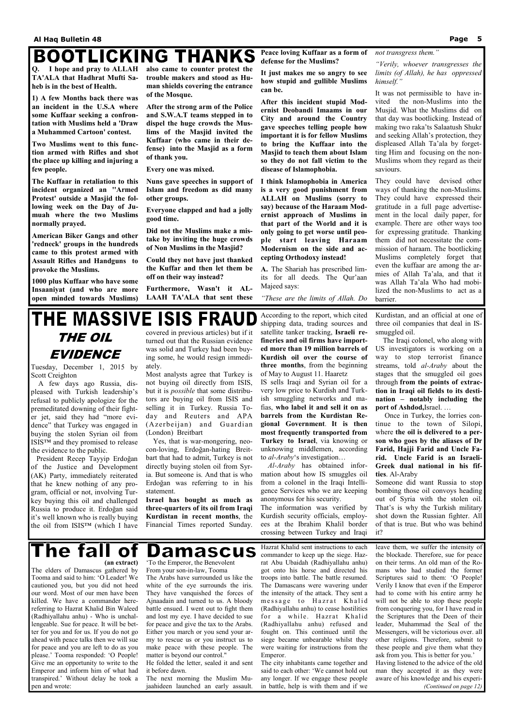## **BOOTLICKING THANKS**

**Q. I hope and pray to ALLAH TA'ALA that Hadhrat Mufti Saheb is in the best of Health.** 

**1) A few Months back there was an incident in the U.S.A where some Kuffaar seeking a confrontation with Muslims held a 'Draw a Muhammed Cartoon' contest.** 

**Two Muslims went to this function armed with Rifles and shot the place up killing and injuring a few people.** 

**The Kuffaar in retaliation to this incident organized an ''Armed Protest' outside a Masjid the following week on the Day of Jumuah where the two Muslims normally prayed.** 

**American Biker Gangs and other 'redneck' groups in the hundreds came to this protest armed with Assault Rifles and Handguns to provoke the Muslims.** 

**1000 plus Kuffaar who have some Insaaniyat (and who are more open minded towards Muslims)**  **also came to counter protest the trouble makers and stood as Human shields covering the entrance of the Mosque.** 

**After the strong arm of the Police and S.W.A.T teams stepped in to dispel the huge crowds the Muslims of the Masjid invited the Kuffaar (who came in their defense) into the Masjid as a form of thank you.** 

**Every one was mixed.** 

**Nuns gave speeches in support of Islam and freedom as did many other groups.** 

**Everyone clapped and had a jolly good time.** 

**Did not the Muslims make a mistake by inviting the huge crowds of Non Muslims in the Masjid?** 

**Could they not have just thanked the Kuffar and then let them be off on their way instead?** 

**Furthermore, Wasn't it AL-LAAH TA'ALA that sent these**  **It just makes me so angry to see how stupid and gullible Muslims can be.** 

**After this incident stupid Modernist Deobandi Imaams in our City and around the Country gave speeches telling people how important it is for fellow Muslims to bring the Kuffaar into the Masjid to teach them about Islam so they do not fall victim to the disease of Islamophobia.** 

**Peace loving Kuffaar as a form of defense for the Muslims?**  *not transgress them."* 

**I think Islamophobia in America is a very good punishment from ALLAH on Muslims (sorry to say) because of the Haraam Modernist approach of Muslims in that part of the World and it is only going to get worse until people start leaving Haraam Modernism on the side and accepting Orthodoxy instead!** 

**A.** The Shariah has prescribed limits for all deeds. The Qur'aan Majeed says:

*"These are the limits of Allah. Do* 

*"Verily, whoever transgresses the limits (of Allah), he has oppressed* 

*himself."* 

It was not permissible to have invited the non-Muslims into the Musjid. What the Muslims did on that day was bootlicking. Instead of making two raka'ts Salaatush Shukr and seeking Allah's protection, they displeased Allah Ta'ala by forgetting Him and focusing on the non-Muslims whom they regard as their saviours.

They could have devised other ways of thanking the non-Muslims. They could have expressed their gratitude in a full page advertisement in the local daily paper, for example. There are other ways too for expressing gratitude. Thanking them did not necessitate the commission of haraam. The bootlicking Muslims completely forget that even the kuffaar are among the armies of Allah Ta'ala, and that it was Allah Ta'ala Who had mobilized the non-Muslims to act as a barrier.

# **THE MASSIVE ISIS FRAUD**

#### T L £ ne fail of **(an extract)**

### THE OIL EVIDENCE

Tuesday, December 1, 2015 by Scott Creighton

 A few days ago Russia, displeased with Turkish leadership's refusal to publicly apologize for the premeditated downing of their fighter jet, said they had "more evidence" that Turkey was engaged in buying the stolen Syrian oil from ISIS™ and they promised to release the evidence to the public.

> П Damascus 'To the Emperor, the Benevolent From your son-in-law, Tooma The Arabs have surrounded us like the

 President Recep Tayyip Erdoğan of the Justice and Development (AK) Party, immediately reiterated that he knew nothing of any program, official or not, involving Turkey buying this oil and challenged Russia to produce it. Erdoğan said it's well known who is really buying the oil from ISIS™ (which I have

covered in previous articles) but if it turned out that the Russian evidence was solid and Turkey had been buying some, he would resign immediately.

Most analysts agree that Turkey is not buying oil directly from ISIS, but it is *possible* that some distributors are buying oil from ISIS and selling it in Turkey. Russia Today and Reuters and APA (Azerbeijan) and Guardian (London) Breitbart

 Yes, that is war-mongering, neocon-loving, Erdoğan-hating Breitbart that had to admit, Turkey is not directly buying stolen oil from Syria. But someone is. And that is who Erdoğan was referring to in his statement.

**Israel has bought as much as three-quarters of its oil from Iraqi Kurdistan in recent months**, the Financial Times reported Sunday. According to the report, which cited shipping data, trading sources and satellite tanker tracking, **Israeli refineries and oil firms have imported more than 19 million barrels of Kurdish oil over the course of three months**, from the beginning of May to August 11. Haaretz

IS sells Iraqi and Syrian oil for a very low price to Kurdish and Turkish smuggling networks and mafias, **who label it and sell it on as barrels from the Kurdistan Regional Government**. **It is then most frequently transported from Turkey to Israel**, via knowing or unknowing middlemen, according to *al-Araby*'s investigation…

 *Al-Araby* has obtained information about how IS smuggles oil from a colonel in the Iraqi Intelligence Services who we are keeping anonymous for his security.

The information was verified by Kurdish security officials, employees at the Ibrahim Khalil border crossing between Turkey and Iraqi

Kurdistan, and an official at one of three oil companies that deal in ISsmuggled oil.

 The Iraqi colonel, who along with US investigators is working on a way to stop terrorist finance streams, told *al-Araby* about the stages that the smuggled oil goes through **from the points of extraction in Iraqi oil fields to its destination – notably including the port of Ashdod,**Israel. …

 Once in Turkey, the lorries continue to the town of Silopi, where **the oil is delivered to a person who goes by the aliases of Dr Farid, Hajji Farid and Uncle Farid. Uncle Farid is an Israeli-Greek dual national in his fifties**. Al-Araby

Someone did want Russia to stop bombing those oil convoys heading out of Syria with the stolen oil. That's is why the Turkish military shot down the Russian fighter. All of that is true. But who was behind it?

The elders of Damascus gathered by Tooma and said to him: 'O Leader! We cautioned you, but you did not heed our word. Most of our men have been killed. We have a commander herereferring to Hazrat Khalid Bin Waleed (Radhiyallahu anhu) - Who is unchallengeable. Sue for peace. It will be better for you and for us. If you do not go ahead with peace talks then we will sue for peace and you are left to do as you please.' Tooma responded: 'O People! Give me an opportunity to write to the Emperor and inform him of what had transpired.' Without delay he took a pen and wrote:

white of the eye surrounds the iris. They have vanquished the forces of Ajnaadain and turned to us. A bloody battle ensued. I went out to fight them and lost my eye. I have decided to sue for peace and give the tax to the Arabs. Either you march or you send your army to rescue us or you instruct us to make peace with these people. The matter is beyond our control."

He folded the letter, sealed it and sent it before dawn.

The next morning the Muslim Mujaahideen launched an early assault.

Hazrat Khalid sent instructions to each commander to keep up the siege. Hazrat Abu Ubaidah (Radhiyallahu anhu) got onto his horse and directed his troops into battle. The battle resumed. The Damascans were wavering under the intensity of the attack. They sent a message to Hazrat Khalid (Radhiyallahu anhu) to cease hostilities for a while. Hazrat Khalid (Radhiyallahu anhu) refused and fought on. This continued until the siege became unbearable whilst they were waiting for instructions from the Emperor.

The city inhabitants came together and said to each other: 'We cannot hold out any longer. If we engage these people in battle, help is with them and if we

leave them, we suffer the intensity of the blockade. Therefore, sue for peace on their terms. An old man of the Romans who had studied the former Scriptures said to them: 'O People! Verily I know that even if the Emperor had to come with his entire army he will not be able to stop these people from conquering you, for I have read in the Scriptures that the Deen of their leader, Muhammad the Seal of the Messengers, will be victorious over. all other religions. Therefore, submit to these people and give them what they ask from you. This is better for you.' Having listened to the advice of the old man they accepted it as they were aware of his knowledge and his experi- *(Continued on page 12)*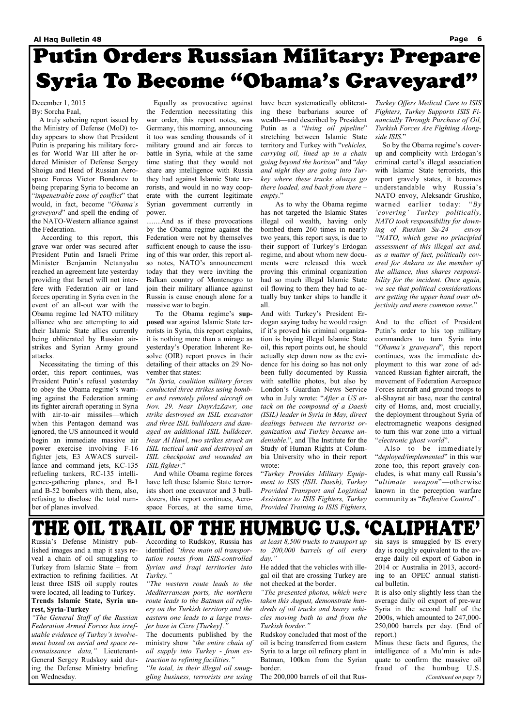# **Putin Orders Russian Military: Prepare Syria To Become "Obama's Graveyard"**

December 1, 2015 By: Sorcha Faal,

 A truly sobering report issued by the Ministry of Defense (MoD) today appears to show that President Putin is preparing his military forces for World War III after he ordered Minister of Defense Sergey Shoigu and Head of Russian Aerospace Forces Victor Bondarev to being preparing Syria to become an "*impenetrable zone of conflict*" that would, in fact, become "*Obama's graveyard*" and spell the ending of the NATO-Western alliance against the Federation.

 According to this report, this grave war order was secured after President Putin and Israeli Prime Minister Benjamin Netanyahu reached an agreement late yesterday providing that Israel will not interfere with Federation air or land forces operating in Syria even in the event of an all-out war with the Obama regime led NATO military alliance who are attempting to aid their Islamic State allies currently being obliterated by Russian airstrikes and Syrian Army ground attacks.

 Necessitating the timing of this order, this report continues, was President Putin's refusal yesterday to obey the Obama regime's warning against the Federation arming its fighter aircraft operating in Syria with air-to-air missiles—which when this Pentagon demand was ignored, the US announced it would begin an immediate massive air power exercise involving F-16 fighter jets, E3 AWACS surveillance and command jets, KC-135 refueling tankers, RC-135 intelligence-gathering planes, and B-1 and B-52 bombers with them, also, refusing to disclose the total number of planes involved.

 Equally as provocative against the Federation necessitating this war order, this report notes, was Germany, this morning, announcing it too was sending thousands of it military ground and air forces to battle in Syria, while at the same time stating that they would not share any intelligence with Russia they had against Islamic State terrorists, and would in no way cooperate with the current legitimate Syrian government currently in power.

........And as if these provocations by the Obama regime against the Federation were not by themselves sufficient enough to cause the issuing of this war order, this report also notes, NATO's announcement today that they were inviting the Balkan country of Montenegro to join their military alliance against Russia is cause enough alone for a massive war to begin.

 To the Obama regime's **supposed** war against Islamic State terrorists in Syria, this report explains, it is nothing more than a mirage as yesterday's Operation Inherent Resolve (OIR) report proves in their detailing of their attacks on 29 November that states:

"*In Syria, coalition military forces conducted three strikes using bomber and remotely piloted aircraft on Nov. 29. Near DayrAzZawr, one strike destroyed an ISIL excavator and three ISIL bulldozers and damaged an additional ISIL bulldozer. Near Al Hawl, two strikes struck an ISIL tactical unit and destroyed an ISIL checkpoint and wounded an ISIL fighter*."

 And while Obama regime forces have left these Islamic State terrorists short one excavator and 3 bulldozers, this report continues, Aerospace Forces, at the same time, have been systematically obliterating these barbarians source of wealth—and described by President Putin as a "*living oil pipeline*" stretching between Islamic State territory and Turkey with "*vehicles, carrying oil, lined up in a chain going beyond the horizon*" and "*day and night they are going into Turkey where these trucks always go there loaded, and back from there – empty*."

 As to why the Obama regime has not targeted the Islamic States illegal oil wealth, having only bombed them 260 times in nearly two years, this report says, is due to their support of Turkey's Erdogan regime, and about whom new documents were released this week proving this criminal organization had so much illegal Islamic State oil flowing to them they had to actually buy tanker ships to handle it all.

And with Turkey's President Erdogan saying today he would resign if it's proved his criminal organization is buying illegal Islamic State oil, this report points out, he should actually step down now as the evidence for his doing so has not only been fully documented by Russia with satellite photos, but also by London's Guardian News Service who in July wrote: "*After a US attack on the compound of a Daesh (ISIL) leader in Syria in May, direct dealings between the terrorist organization and Turkey became undeniable*.", and The Institute for the Study of Human Rights at Columbia University who in their report wrote:

"*Turkey Provides Military Equipment to ISIS (ISIL Daesh), Turkey Provided Transport and Logistical Assistance to ISIS Fighters, Turkey Provided Training to ISIS Fighters,* 

*Turkey Offers Medical Care to ISIS Fighters, Turkey Supports ISIS Financially Through Purchase of Oil, Turkish Forces Are Fighting Alongside ISIS*."

 So by the Obama regime's coverup and complicity with Erdogan's criminal cartel's illegal association with Islamic State terrorists, this report gravely states, it becomes understandable why Russia's NATO envoy, Aleksandr Grushko, warned earlier today: "*By 'covering' Turkey politically, NATO took responsibility for downing of Russian Su-24 – envoy "NATO, which gave no principled assessment of this illegal act and, as a matter of fact, politically covered for Ankara as the member of the alliance, thus shares responsibility for the incident. Once again, we see that political considerations are getting the upper hand over objectivity and mere common sense*."

And to the effect of President Putin's order to his top military commanders to turn Syria into "*Obama's graveyard*", this report continues, was the immediate deployment to this war zone of advanced Russian fighter aircraft, the movement of Federation Aerospace Forces aircraft and ground troops to al-Shayrat air base, near the central city of Homs, and, most crucially, the deployment throughout Syria of electromagnetic weapons designed to turn this war zone into a virtual "*electronic ghost world*".

 Also to be immediately "*deployed/implemented*" in this war zone too, this report gravely concludes, is what many call Russia's "*ultimate weapon*"—otherwise known in the perception warfare community as "*Reflexive Control*" .

## THE OIL TRAIL OF THE HUMBUG U.S. 'CALIPHA'

lished images and a map it says reveal a chain of oil smuggling to Turkey from Islamic State – from extraction to refining facilities. At least three ISIS oil supply routes were located, all leading to Turkey. **Trends Islamic State, Syria unrest, Syria-Turkey** 

*"The General Staff of the Russian Federation Armed Forces has irrefutable evidence of Turkey's involvement based on aerial and space reconnaissance data,"* Lieutenant-General Sergey Rudskoy said during the Defense Ministry briefing on Wednesday.

identified *"three main oil transportation routes from ISIS-controlled Syrian and Iraqi territories into Turkey."*

*"The western route leads to the Mediterranean ports, the northern route leads to the Batman oil refinery on the Turkish territory and the eastern one leads to a large transfer base in Cizre [Turkey]."*

The documents published by the ministry show *"the entire chain of oil supply into Turkey - from extraction to refining facilities."* 

*"In total, in their illegal oil smuggling business, terrorists are using* 

Russia's Defense Ministry pub-According to Rudskoy, Russia has *at least 8,500 trucks to transport up*  sia says is smuggled by IS every day is roughly equivalent to the average daily oil export of Gabon in 2014 or Australia in 2013, according to an OPEC annual statistical bulletin. It is also only slightly less than the average daily oil export of pre-war Syria in the second half of the 2000s, which amounted to 247,000- 250,000 barrels per day. (End of report.) Minus these facts and figures, the intelligence of a Mu'min is adequate to confirm the massive oil fraud of the humbug U.S. *(Continued on page 7)* 

*to 200,000 barrels of oil every day."*

He added that the vehicles with illegal oil that are crossing Turkey are not checked at the border.

*"The presented photos, which were taken this August, demonstrate hundreds of oil trucks and heavy vehicles moving both to and from the Turkish border."*

Rudskoy concluded that most of the oil is being transferred from eastern Syria to a large oil refinery plant in Batman, 100km from the Syrian border.

The 200,000 barrels of oil that Rus-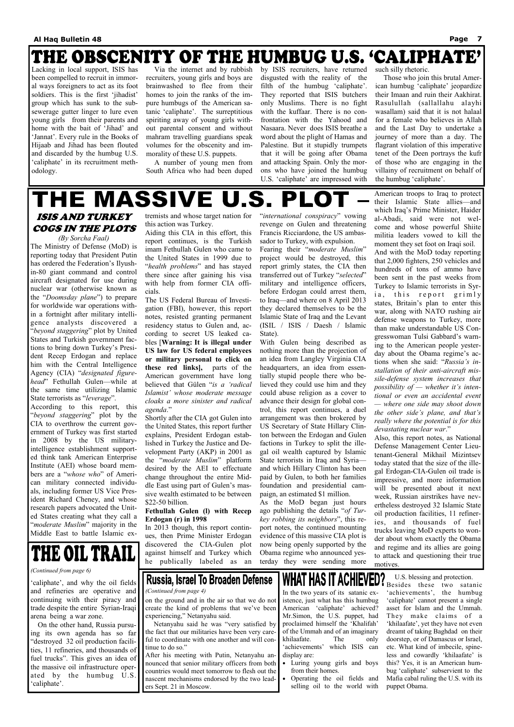## THE OBSCENITY OF THE HUMBUG U.S. 'CALIPHATE'

Lacking in local support, ISIS has been compelled to recruit in immoral ways foreigners to act as its foot soldiers. This is the first 'jihadist' group which has sunk to the subsewerage gutter linger to lure even young girls from their parents and home with the bait of 'Jihad' and 'Jannat'. Every rule in the Books of Hijaab and Jihad has been flouted and discarded by the humbug U.S. 'caliphate' in its recruitment methodology.

 Via the internet and by rubbish recruiters, young girls and boys are brainwashed to flee from their homes to join the ranks of the impure humbugs of the American satanic 'caliphate'. The surreptitious spiriting away of young girls without parental consent and without mahram travelling guardians speak volumes for the obscenity and immorality of these U.S. puppets.

 A number of young men from South Africa who had been duped by ISIS recruiters, have returned disgusted with the reality of the filth of the humbug 'caliphate'. They reported that ISIS butchers only Muslims. There is no fight with the kuffaar. There is no confrontation with the Yahood and Nasaara. Never does ISIS breathe a word about the plight of Hamas and Palestine. But it stupidly trumpets that it will be going after Obama and attacking Spain. Only the morons who have joined the humbug U.S. 'caliphate' are impressed with

**WHAT HAS IT ACHIEV** *(Continued from page 4)* In the two years of its satanic existence, just what has this humbug American 'caliphate' achieved? Mr.Simon, the U.S. puppet, had proclaimed himself the 'Khalifah' of the Ummah and of an imaginary khilaafate. The only 'achievements' which ISIS can display are:

such silly rhetoric.

 Those who join this brutal American humbug 'caliphate' jeopardize their Imaan and ruin their Aakhirat. Rasulullah (sallallahu alayhi wasallam) said that it is not halaal for a female who believes in Allah and the Last Day to undertake a journey of more than a day. The flagrant violation of this imperative tenet of the Deen portrays the kufr of those who are engaging in the villainy of recruitment on behalf of the humbug 'caliphate'.

# THE MASSIVE

on the ground and in the air so that we do not create the kind of problems that we've been experiencing," Netanyahu said.

 Netanyahu said he was "very satisfied by the fact that our militaries have been very careful to coordinate with one another and will continue to do so."

After his meeting with Putin, Netanyahu announced that senior military officers from both countries would meet tomorrow to flesh out the nascent mechanisms endorsed by the two leaders Sept. 21 in Moscow.

- Luring young girls and boys from their homes.
- Operating the oil fields and selling oil to the world with

ISIS AND TURKEY COGS IN THE PLOTS

*(By Sorcha Faal)*  The Ministry of Defense (MoD) is reporting today that President Putin has ordered the Federation's Ilyushin-80 giant command and control aircraft designated for use during nuclear war (otherwise known as the "*Doomsday plane*") to prepare for worldwide war operations within a fortnight after military intelligence analysts discovered a "*beyond staggering*" plot by United States and Turkish government factions to bring down Turkey's President Recep Erdogan and replace him with the Central Intelligence Agency (CIA) "*designated figurehead*" Fethullah Gulen—while at the same time utilizing Islamic State terrorists as "*leverage*".

According to this report, this "*beyond staggering*" plot by the CIA to overthrow the current government of Turkey was first started in 2008 by the US militaryintelligence establishment supported think tank American Enterprise Institute (AEI) whose board members are a "*whose who*" of American military connected individuals, including former US Vice President Richard Cheney, and whose research papers advocated the United States creating what they call a "*moderate Muslim*" majority in the Middle East to battle Islamic ex-

MITH ATT MM ATT

tremists and whose target nation for this action was Turkey.

Aiding this CIA in this effort, this report continues, is the Turkish imam Fethullah Gulen who came to the United States in 1999 due to "*health problems*" and has stayed there since after gaining his visa with help from former CIA officials.

The US Federal Bureau of Investigation (FBI), however, this report notes, resisted granting permanent residency status to Gulen and, according to secret US leaked cables [**Warning: It is illegal under US law for US federal employees or military personal to click on these red links],** parts of the American government have long believed that Gülen "*is a 'radical Islamist' whose moderate message cloaks a more sinister and radical agenda*."

Shortly after the CIA got Gulen into the United States, this report further explains, President Erdogan established in Turkey the Justice and Development Party (AKP) in 2001 as the "*moderate Muslim*" platform desired by the AEI to effectuate change throughout the entire Middle East using part of Gulen's massive wealth estimated to be between \$22-50 billion.

#### **Fethullah Gulen (l) with Recep Erdogan (r) in 1998**

In 2013 though, this report continues, then Prime Minister Erdogan discovered the CIA-Gulen plot

U.S. blessing and protection. Besides these two satanic 'achievements', the humbug 'caliphate' cannot present a single asset for Islam and the Ummah. They make claims of a 'khilaafate', yet they have not even dreamt of taking Baghdad on their doorstep, or of Damascus or Israel, etc. What kind of imbecile, spineless and cowardly 'khilaafate' is this? Yes, it is an American humbug 'caliphate' subservient to the Mafia cabal ruling the U.S. with its puppet Obama. Also, this report notes, as National Defense Management Center Lieutenant-General Mikhail Mizintsev today stated that the size of the illegal Erdogan-CIA-Gulen oil trade is impressive, and more information will be presented about it next week, Russian airstrikes have nevertheless destroyed 32 Islamic State oil production facilities, 11 refineries, and thousands of fuel trucks leaving MoD experts to wonder about whom exactly the Obama and regime and its allies are going to attack and questioning their true motives.

### THE OIL TKAIL

"*international conspiracy*" vowing revenge on Gulen and threatening Francis Ricciardone, the US ambassador to Turkey, with expulsion.

Fearing their "*moderate Muslim*" project would be destroyed, this report grimly states, the CIA then transferred out of Turkey "*selected*" military and intelligence officers, before Erdogan could arrest them, to Iraq—and where on 8 April 2013 they declared themselves to be the Islamic State of Iraq and the Levant (ISIL / ISIS / Daesh / Islamic State).

against himself and Turkey which he publically labeled as an Obama regime who announced yesterday they were sending more

### Russia, Israel To Broaden Defense

With Gulen being described as nothing more than the projection of an idea from Langley Virginia CIA headquarters, an idea from essentially stupid people there who believed they could use him and they could abuse religion as a cover to advance their design for global control, this report continues, a duel arrangement was then brokered by US Secretary of State Hillary Clinton between the Erdogan and Gulen factions in Turkey to split the illegal oil wealth captured by Islamic State terrorists in Iraq and Syria and which Hillary Clinton has been paid by Gulen, to both her families foundation and presidential campaign, an estimated \$1 million.

As the MoD began just hours ago publishing the details "*of Turkey robbing its neighbors*", this report notes, the continued mounting evidence of this massive CIA plot is now being openly supported by the

American troops to Iraq to protect their Islamic State allies—and which Iraq's Prime Minister, Haider al-Abadi, said were not welcome and whose powerful Shiite militia leaders vowed to kill the moment they set foot on Iraqi soil. And with the MoD today reporting that 2,000 fighters, 250 vehicles and hundreds of tons of ammo have been sent in the past weeks from Turkey to Islamic terrorists in Syria, this report grimly states, Britain's plan to enter this war, along with NATO rushing air defense weapons to Turkey, more than make understandable US Congresswoman Tulsi Gabbard's warning to the American people yesterday about the Obama regime's actions when she said: "*Russia's installation of their anti-aircraft missile-defense system increases that possibility of — whether it's intentional or even an accidental event — where one side may shoot down the other side's plane, and that's really where the potential is for this devastating nuclear war*."

'caliphate', and why the oil fields and refineries are operative and continuing with their piracy and trade despite the entire Syrian-Iraqi arena being a war zone.

 On the other hand, Russia pursuing its own agenda has so far "destroyed 32 oil production facilities, 11 refineries, and thousands of fuel trucks". This gives an idea of the massive oil infrastructure operated by the humbug U.S. 'caliphate'.

*(Continued from page 6)*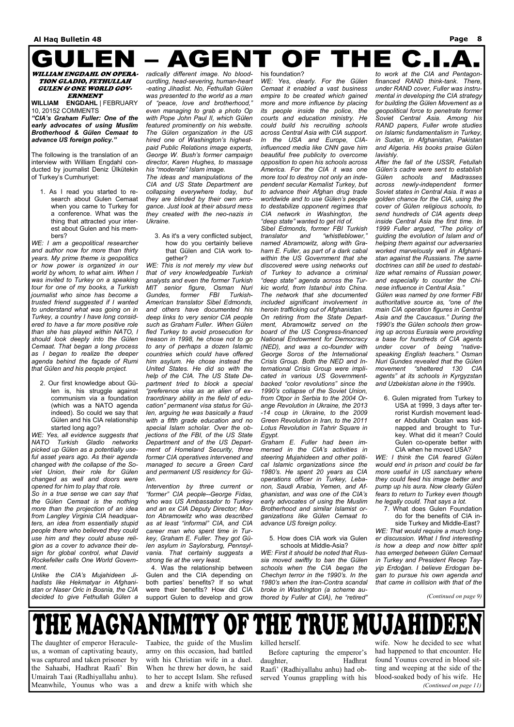### **AGENT OF THE C.I.** GULEN

#### WILLIAM ENGDAHL ON OPERA-TION GLADIO, FETHULLAH GULEN & ONE WORLD GOV-ERNMENT

**WILLIAM ENGDAHL** | FEBRUARY 10, 20152 COMMENTS

*"CIA's Graham Fuller: One of the early advocates of using Muslim Brotherhood & Gülen Cemaat to advance US foreign policy."* 

The following is the translation of an interview with William Engdahl conducted by journalist Deniz Ülkütekin of Turkey's Cumhuriyet:

1. As I read you started to research about Gulen Cemaat when you came to Turkey for a conference. What was the thing that attracted your interest about Gulen and his members?

*WE: I am a geopolitical researcher and author now for more than thirty years. My prime theme is geopolitics or how power is organized in our world by whom, to what aim. When I was invited to Turkey on a speaking tour for one of my books, a Turkish journalist who since has become a trusted friend suggested if I wanted to understand what was going on in Turkey, a country I have long considered to have a far more positive role than she has played within NATO, I should look deeply into the Gülen Cemaat. That began a long process as I began to realize the deeper agenda behind the façade of Rumi that Gülen and his people project.* 

2. Our first knowledge about Gülen is, his struggle against communism via a foundation (which was a NATO agenda indeed). So could we say that Gülen and his CIA relationship started long ago?

*WE: Yes, all evidence suggests that NATO Turkish Gladio networks picked up Gülen as a potentially useful asset years ago. As their agenda changed with the collapse of the Soviet Union, their role for Gülen changed as well and doors were opened for him to play that role.*

*So in a true sense we can say that the Gülen Cemaat is the nothing more than the projection of an idea from Langley Virginia CIA headquarters, an idea from essentially stupid people there who believed they could use him and they could abuse religion as a cover to advance their de-*

*sign for global control, what David Rockefeller calls One World Government.*

*Unlike the CIA's Mujahideen Jihadists like Hekmatyar in Afghanistan or Naser Oric in Bosnia, the CIA decided to give Fethullah Gülen a* 

4. Was the relationship between Gulen and the CIA depending on both parties' benefits? If so what were their benefits? How did CIA support Gulen to develop and grow

*radically different image. No bloodcurdling, head-severing, human-heart -eating Jihadist. No, Fethullah Gülen was presented to the world as a man of "peace, love and brotherhood," even managing to grab a photo Op with Pope John Paul II, which Gülen featured prominently on his website. The Gülen organization in the US hired one of Washington's highestpaid Public Relations image experts, George W. Bush's former campaign director, Karen Hughes, to massage his "moderate" Islam image.* 

*The ideas and manipulations of the CIA and US State Department are collapsing everywhere today, but they are blinded by their own arrogance. Just look at their absurd mess they created with the neo-nazis in Ukraine.* 

3. As it's a very conflicted subject, how do you certainly believe that Gülen and CIA work together?

*WE: This is not merely my view but that of very knowledgeable Turkish analysts and even the former Turkish MIT senior figure, Osman Nuri Gundes, former FBI Turkish-American translator Sibel Edmonds, and others have documented his deep links to very senior CIA people such as Graham Fuller. When Gülen fled Turkey to avoid prosecution for treason in 1998, he chose not to go to any of perhaps a dozen Islamic countries which could have offered him asylum. He chose instead the United States. He did so with the help of the CIA. The US State Department tried to block a special "preference visa as an alien of extraordinary ability in the field of education" permanent visa status for Gülen, arguing he was basically a fraud with a fifth grade education and no special Islam scholar. Over the objections of the FBI, of the US State Department and of the US Department of Homeland Security, three former CIA operatives intervened and managed to secure a Green Card and permanent US residency for Gülen.*

*Intervention by three current or "former" CIA people--George Fidas, who was US Ambassador to Turkey and an ex CIA Deputy Director; Morton Abramowitz who was described as at least "informal" CIA, and CIA career man who spent time in Turkey, Graham E. Fuller. They got Gülen asylum in Saylorsburg, Pennsyl-*

*vania. That certainly suggests a strong tie at the very least.* 

#### his foundation?

*WE: Yes, clearly. For the Gülen Cemaat it enabled a vast business empire to be created which gained more and more influence by placing its people inside the police, the courts and education ministry. He could build his recruiting schools across Central Asia with CIA support. In the USA and Europe, CIAinfluenced media like CNN gave him beautiful free publicity to overcome opposition to open his schools across America. For the CIA it was one more tool to destroy not only an independent secular Kemalist Turkey, but to advance their Afghan drug trade worldwide and to use Gülen's people to destabilize opponent regimes that CIA network in Washington, the "deep state" wanted to get rid of.*

*Sibel Edmonds, former FBI Turkish translator and "whistleblower," named Abramowitz, along with Graham E. Fuller, as part of a dark cabal within the US Government that she discovered were using networks out of Turkey to advance a criminal "deep state" agenda across the Turkic world, from Istanbul into China. The network that she documented included significant involvement in heroin trafficking out of Afghanistan.*

*On retiring from the State Department, Abramowitz served on the board of the US Congress-financed National Endowment for Democracy (NED), and was a co-founder with George Soros of the International Crisis Group. Both the NED and International Crisis Group were implicated in various US Governmentbacked "color revolutions" since the 1990's collapse of the Soviet Union, from Otpor in Serbia to the 2004 Orange Revolution in Ukraine, the 2013 -14 coup in Ukraine, to the 2009 Green Revolution in Iran, to the 2011 Lotus Revolution in Tahrir Square in Egypt.* 

*Graham E. Fuller had been immersed in the CIA's activities in steering Mujahideen and other political Islamic organizations since the 1980's. He spent 20 years as CIA operations officer in Turkey, Lebanon, Saudi Arabia, Yemen, and Afghanistan, and was one of the CIA's early advocates of using the Muslim Brotherhood and similar Islamist organizations like Gülen Cemaat to advance US foreign policy.* 

5. How does CIA work via Gulen schools at Middle-Asia?

*WE: First it should be noted that Russia moved swiftly to ban the Gülen schools when the CIA began the Chechyn terror in the 1990's. In the 1980's when the Iran-Contra scandal broke in Washington (a scheme authored by Fuller at CIA), he "retired"* 

*to work at the CIA and Pentagonfinanced RAND think-tank. There, under RAND cover, Fuller was instrumental in developing the CIA strategy for building the Gülen Movement as a geopolitical force to penetrate former Soviet Central Asia. Among his RAND papers, Fuller wrote studies on Islamic fundamentalism in Turkey, in Sudan, in Afghanistan, Pakistan and Algeria. His books praise Gülen lavishly.*

*After the fall of the USSR, Fetullah Gülen's cadre were sent to establish Gülen schools and Madrasses across newly-independent former Soviet states in Central Asia. It was a golden chance for the CIA, using the cover of Gülen religious schools, to send hundreds of CIA agents deep inside Central Asia the first time. In 1999 Fuller argued, "The policy of guiding the evolution of Islam and of helping them against our adversaries worked marvelously well in Afghanistan against the Russians. The same doctrines can still be used to destabilize what remains of Russian power, and especially to counter the Chinese influence in Central Asia."*

*Gülen was named by one former FBI authoritative source as, "one of the main CIA operation figures in Central Asia and the Caucasus." During the 1990's the Gülen schools then growing up across Eurasia were providing a base for hundreds of CIA agents under cover of being "nativespeaking English teachers." Osman Nuri Gundes revealed that the Gülen movement "sheltered 130 CIA agents" at its schools in Kyrgyzstan and Uzbekistan alone in the 1990s.* 

6. Gulen migrated from Turkey to USA at 1999, 3 days after terrorist Kurdish movement leader Abdullah Ocalan was kidnapped and brought to Turkey. What did it mean? Could Gulen co-operate better with CIA when he moved USA?

*WE: I think the CIA feared Gülen would end in prison and could be far more useful in US sanctuary where they could feed his image better and pump up his aura. Now clearly Gülen fears to return to Turkey even though he legally could. That says a lot.* 

7. What does Gulen Foundation do for the benefits of CIA inside Turkey and Middle-East?

*WE: That would require a much longer discussion. What I find interesting is how a deep and now bitter split* 

*has emerged between Gülen Cemaat in Turkey and President Recep Tayyip Erdoğan. I believe Erdogan began to pursue his own agenda and that came in collision with that of the* 

*(Continued on page 9)* 

### **TY OF THE TRUE MUJAH** HEMAGNANIMI

The daughter of emperor Heraculeus, a woman of captivating beauty, was captured and taken prisoner by the Sahaabi, Hadhrat Raafi' Bin Umairah Taai (Radhiyallahu anhu). Meanwhile, Younus who was a

Taabiee, the guide of the Muslim army on this occasion, had battled with his Christian wife in a duel. When he threw her down, he said to her to accept Islam. She refused and drew a knife with which she killed herself.

 Before capturing the emperor's daughter, Hadhrat Raafi' (Radhiyallahu anhu) had observed Younus grappling with his

wife. Now he decided to see what had happened to that encounter. He found Younus covered in blood sitting and weeping at the side of the blood-soaked body of his wife. He *(Continued on page 11)*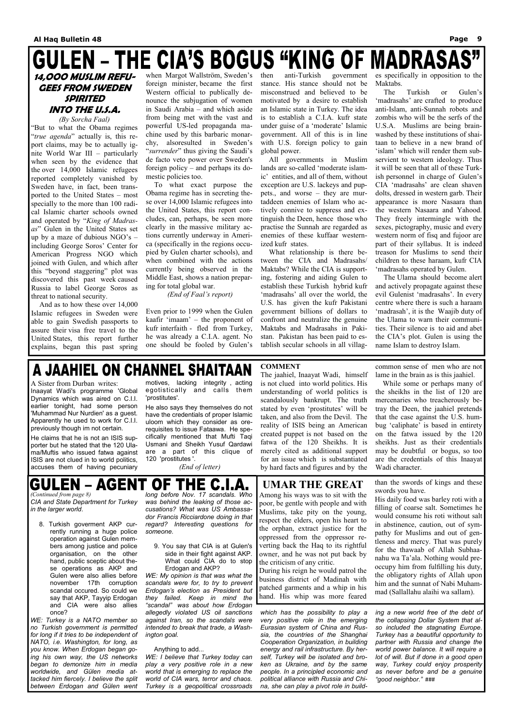# **GULEN - THE CIA'S BOGUS "KING OF MADRASAS"**

### **14,OOO MUSLIM REFU-GEES FROM SWEDEN SPIRITED INTO THE U.S.A.**

*(By Sorcha Faal)*  "But to what the Obama regimes "*true agenda*" actually is, this report claims, may be to actually ignite World War III – particularly when seen by the evidence that the over 14,000 Islamic refugees reported completely vanished by Sweden have, in fact, been transported to the United States – most specially to the more than 100 radical Islamic charter schools owned and operated by "*King of Madrasas*" Gulen in the United States set up by a maze of dubious NGO's – including George Soros' Center for American Progress NGO which joined with Gulen, and which after this "beyond staggering" plot was discovered this past week caused Russia to label George Soros as threat to national security.

 And as to how these over 14,000 Islamic refugees in Sweden were able to gain Swedish passports to assure their visa free travel to the United States, this report further explains, began this past spring when Margot Wallström, Sweden's foreign minister, became the first Western official to publically denounce the subjugation of women in Saudi Arabia – and which aside from being met with the vast and powerful US-led propaganda machine used by this barbaric monarchy, alsoresulted in Sweden's "*surrender*" thus giving the Saudi's de facto veto power over Sweden's foreign policy – and perhaps its domestic policies too.

 To what exact purpose the Obama regime has in secreting these over 14,000 Islamic refugees into the United States, this report concludes, can, perhaps, be seen more clearly in the massive military actions currently underway in America (specifically in the regions occupied by Gulen charter schools), and when combined with the actions currently being observed in the Middle East, shows a nation preparing for total global war.

 *(End of Faal's report)* 

Even prior to 1999 when the Gulen kaafir 'imaam' – the proponent of kufr interfaith - fled from Turkey, he was already a C.I.A. agent. No one should be fooled by Gulen's then anti-Turkish government stance. His stance should not be misconstrued and believed to be motivated by a desire to establish an Islamic state in Turkey. The idea is to establish a C.I.A. kufr state under guise of a 'moderate' Islamic government. All of this is in line with U.S. foreign policy to gain global power.

 All governments in Muslim lands are so-called 'moderate islamic' entities, and all of them, without exception are U.S. lackeys and puppets., and worse – they are murtaddeen enemies of Islam who actively connive to suppress and extinguish the Deen, hence those who practise the Sunnah are regarded as enemies of these kuffaar westernized kufr states.

 What relationship is there between the CIA and Madrasahs/ Maktabs? While the CIA is supporting, fostering and aiding Gulen to establish these Turkish hybrid kufr 'madrasahs' all over the world, the U.S. has given the kufr Pakistani government billions of dollars to confront and neutralize the genuine Maktabs and Madrasahs in Pakistan. Pakistan has been paid to establish secular schools in all villages specifically in opposition to the Maktabs.

 The Turkish or Gulen's 'madrasahs' are crafted to produce anti-Islam, anti-Sunnah robots and zombis who will be the serfs of the U.S.A. Muslims are being brainwashed by these institutions of shaitaan to believe in a new brand of 'islam' which will render them subservient to western ideology. Thus it will be seen that all of these Turkish personnel in charge of Gulen's CIA 'madrasahs' are clean shaven dolts, dressed in western garb. Their appearance is more Nasaara than the western Nasaara and Yahood. They freely intermingle with the sexes, pictography, music and every western norm of fisq and fujoor are part of their syllabus. It is indeed treason for Muslims to send their children to these haraam, kufr CIA 'madrasahs operated by Gulen.

*ing a new world free of the debt of the collapsing Dollar System that also included the stagnating Europe. Turkey has a beautiful opportunity to partner with Russia and change the world power balance. It will require a lot of will. But if done in a good open way, Turkey could enjoy prosperity as never before and be a genuine*  "good neighbor." ###

 The Ulama should become alert and actively propagate against these evil Gulenist 'madrasahs'. In every centre where there is such a haraam 'madrasah', it is the Waajib duty of the Ulama to warn their communities. Their silence is to aid and abet the CIA's plot. Gulen is using the name Islam to destroy Islam.

## A JAAHIEL ON CHANNEL SHAITAAN

#### OF THE C.I GULEN – AGENT *(Continued from page 8)*

A Sister from Durban writes: Inaayat Wadi's programme 'Global Dynamics which was aired on C.I.I. earlier tonight, had some person 'Muhammad Nur Nurdien' as a guest. Apparently he used to work for C.I.I. previously though im not certain.

He claims that he is not an ISIS supporter but he stated that the 120 Ulama/Muftis who issued fatwa against ISIS are not clued in to world politics, accuses them of having pecuniary

motives, lacking integrity , acting egotistically and calls them 'prostitutes'.

He also says they themselves do not have the credentials of proper Islamic uloom which they consider as orerequisites to issue Fataawa. He specifically mentioned that Mufti Taqi Usmani and Sheikh Yusuf Qardawi are a part of this clique of 120 'prostitutes '.

 *(End of letter)* 

#### **COMMENT**

The jaahiel, Inaayat Wadi, himself is not clued into world politics. His understanding of world politics is scandalously bankrupt. The truth stated by even 'prostitutes' will be taken, and also from the Devil. The reality of ISIS being an American created puppet is not based on the fatwa of the 120 Sheikhs. It is merely cited as additional support for an issue which is substantiated by hard facts and figures and by the

common sense of men who are not lame in the brain as is this jaahiel.

 While some or perhaps many of the sheikhs in the list of 120 are mercenaries who treacherously betray the Deen, the jaahiel pretends that the case against the U.S. humbug 'caliphate' is based in entirety on the fatwa issued by the 120 sheikhs. Just as their credentials may be doubtful or bogus, so too are the credentials of this Inaayat Wadi character.

*CIA and State Department for Turkey in the larger world*.

8. Turkish goverment AKP currently running a huge police operation against Gulen members among justice and police

organisation, on the other hand, public sceptic about these operations as AKP and Gulen were also allies before november 17th corruption scandal occured. So could we say that AKP, Tayyip Erdogan and CIA were also allies once?

*WE: Turkey is a NATO member so no Turkish government is permitted for long if it tries to be independent of NATO, i.e. Washington, for long, as you know. When Erdogan began going his own way, the US networks began to demonize him in media worldwide, and Gülen media attacked him fiercely. I believe the split between Erdogan and Gülen went*  *long before Nov. 17 scandals. Who was behind the leaking of those accusations? What was US Ambassador Francis Ricciardone doing in that regard? Interesting questions for someone.* 

9. You say that CIA is at Gulen's side in their fight against AKP. What could CIA do to stop Erdogan and AKP? *WE: My opinion is that was what the scandals were for, to try to prevent Erdogan's election as President but they failed. Keep in mind the "scandal" was about how Erdogan allegedly violated US oil sanctions against Iran, so the scandals were intended to break that trade, a Washington goal.* 

Anything to add...

*WE: I believe that Turkey today can play a very positive role in a new world that is emerging to replace the world of CIA wars, terror and chaos. Turkey is a geopolitical crossroads*  *which has the possibility to play a very positive role in the emerging Eurasian system of China and Russia, the countries of the Shanghai Cooperation Organization, in building energy and rail infrastructure. By herself, Turkey will be isolated and broken as Ukraine, and by the same people. In a principled economic and political alliance with Russia and China, she can play a pivot role in build-*

### **UMAR THE GREAT**

Among his ways was to sit with the poor, be gentle with people and with Muslims, take pity on the young, respect the elders, open his heart to the orphan, extract justice for the oppressed from the oppressor reverting back the Haq to its rightful owner, and he was not put back by the criticism of any critic.

During his reign he would patrol the business district of Madinah with patched garments and a whip in his hand. His whip was more feared

than the swords of kings and these swords you have.

His daily food was barley roti with a filling of coarse salt. Sometimes he would consume his roti without salt in abstinence, caution, out of sympathy for Muslims and out of gentleness and mercy. That was purely for the thawaab of Allah Subhaanahu wa Ta'ala. Nothing would preoccupy him from fulfilling his duty, the obligatory rights of Allah upon him and the sunnat of Nabi Muhammad (Sallallahu alaihi wa sallam).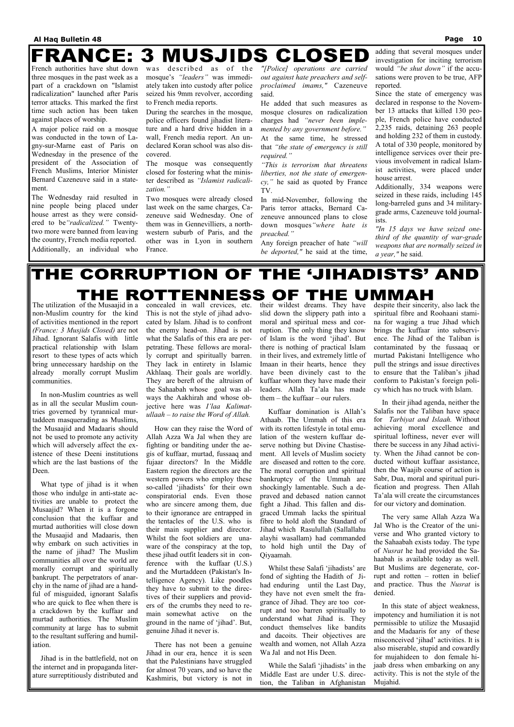#### **Al Haq Bulletin 48 Page 10**

#### **MUSJIDS CLOSED FRANCE:** 3

French authorities have shut down three mosques in the past week as a part of a crackdown on "Islamist radicalization" launched after Paris terror attacks. This marked the first time such action has been taken against places of worship.

A major police raid on a mosque was conducted in the town of Lagny-sur-Marne east of Paris on Wednesday in the presence of the president of the Association of French Muslims, Interior Minister Bernard Cazeneuve said in a statement.

The Wednesday raid resulted in nine people being placed under house arrest as they were considered to be*"radicalized."* Twentytwo more were banned from leaving the country, French media reported. Additionally, an individual who was described as of the mosque's *"leaders"* was immediately taken into custody after police seized his 9mm revolver, according to French media reports.

During the searches in the mosque, police officers found jihadist literature and a hard drive hidden in a wall, French media report. An undeclared Koran school was also discovered.

The mosque was consequently closed for fostering what the minister described as *"Islamist radicalization."*

Two mosques were already closed last week on the same charges, Cazeneuve said Wednesday. One of them was in Gennevilliers, a northwestern suburb of Paris, and the other was in Lyon in southern France.

*"[Police] operations are carried out against hate preachers and selfproclaimed imams,"* Cazeneuve said.

He added that such measures as mosque closures on radicalization charges had *"never been implemented by any government before."* At the same time, he stressed that *"the state of emergency is still required."*

*"This is terrorism that threatens liberties, not the state of emergency,"* he said as quoted by France TV.

In mid-November, following the Paris terror attacks, Bernard Cazeneuve announced plans to close down mosques*"where hate is preached."*

Any foreign preacher of hate *"will be deported,"* he said at the time,

adding that several mosques under investigation for inciting terrorism would *"be shut down"* if the accusations were proven to be true, AFP reported.

Since the state of emergency was declared in response to the November 13 attacks that killed 130 people, French police have conducted 2,235 raids, detaining 263 people and holding 232 of them in custody. A total of 330 people, monitored by intelligence services over their previous involvement in radical Islamist activities, were placed under house arrest.

Additionally, 334 weapons were seized in these raids, including 145 long-barreled guns and 34 militarygrade arms, Cazeneuve told journalists.

*"In 15 days we have seized onethird of the quantity of war-grade weapons that are normally seized in a year,"* he said.

#### THE CORRUPTION OF THE 'JIHADISTS' AND THE ROTTENNESS UMMAH OF тне

The utilization of the Musaajid in a non-Muslim country for the kind of activities mentioned in the report *(France: 3 Musjids Closed)* are not Jihad. Ignorant Salafis with little practical relationship with Islam resort to these types of acts which bring unnecessary hardship on the already morally corrupt Muslim communities.

 In non-Muslim countries as well as in all the secular Muslim countries governed by tyrannical murtaddeen masquerading as Muslims, the Musaajid and Madaaris should not be used to promote any activity which will adversely affect the existence of these Deeni institutions which are the last bastions of the Deen.

 What type of jihad is it when those who indulge in anti-state activities are unable to protect the Musaajid? When it is a forgone conclusion that the kuffaar and murtad authorities will close down the Musaajid and Madaaris, then why embark on such activities in the name of jihad? The Muslim communities all over the world are morally corrupt and spiritually bankrupt. The perpetrators of anarchy in the name of jihad are a handful of misguided, ignorant Salafis who are quick to flee when there is a crackdown by the kuffaar and murtad authorities. The Muslim community at large has to submit to the resultant suffering and humiliation.

 Jihad is in the battlefield, not on the internet and in propaganda literature surreptitiously distributed and concealed in wall crevices, etc. This is not the style of jihad advocated by Islam. Jihad is to confront the enemy head-on. Jihad is not what the Salafis of this era are perpetrating. These fellows are morally corrupt and spiritually barren. They lack in entirety in Islamic Akhlaaq. Their goals are worldly. They are bereft of the altruism of the Sahaabah whose goal was always the Aakhirah and whose objective here was *I'laa Kalimatullaah – to raise the Word of Allah.* 

 How can they raise the Word of Allah Azza Wa Jal when they are fighting or banditing under the aegis of kuffaar, murtad, fussaaq and fujaar directors? In the Middle Eastern region the directors are the western powers who employ these so-called 'jihadists' for their own conspiratorial ends. Even those who are sincere among them, due to their ignorance are entrapped in the tentacles of the U.S. who is their main supplier and director. Whilst the foot soldiers are unaware of the conspiracy at the top, these jihad outfit leaders sit in conference with the kuffaar (U.S.) and the Murtaddeen (Pakistan's Intelligence Agency). Like poodles they have to submit to the directives of their suppliers and providers of the crumbs they need to remain somewhat active on the ground in the name of 'jihad'. But, genuine Jihad it never is.

 There has not been a genuine Jihad in our era, hence it is seen that the Palestinians have struggled for almost 70 years, and so have the Kashmiris, but victory is not in

their wildest dreams. They have slid down the slippery path into a moral and spiritual mess and corruption. The only thing they know of Islam is the word 'jihad'. But there is nothing of practical Islam in their lives, and extremely little of Imaan in their hearts, hence they have been divinely cast to the kuffaar whom they have made their leaders. Allah Ta'ala has made them – the kuffaar – our rulers.

 Kuffaar domination is Allah's Athaab. The Ummah of this era with its rotten lifestyle in total emulation of the western kuffaar deserve nothing but Divine Chastisement. All levels of Muslim society are diseased and rotten to the core. The moral corruption and spiritual bankruptcy of the Ummah are shockingly lamentable. Such a depraved and debased nation cannot fight a Jihad. This fallen and disgraced Ummah lacks the spiritual fibre to hold aloft the Standard of Jihad which Rasulullah (Sallallahu alayhi wasallam) had commanded to hold high until the Day of

Qiyaamah.

 Whilst these Salafi 'jihadists' are fond of sighting the Hadith of Jihad enduring until the Last Day, they have not even smelt the fragrance of Jihad. They are too corrupt and too barren spiritually to understand what Jihad is. They conduct themselves like bandits and dacoits. Their objectives are wealth and women, not Allah Azza Wa Jal and not His Deen.

 While the Salafi 'jihadists' in the Middle East are under U.S. direction, the Taliban in Afghanistan

despite their sincerity, also lack the spiritual fibre and Roohaani stamina for waging a true Jihad which brings the kuffaar into subservience. The Jihad of the Taliban is contaminated by the fussaaq or murtad Pakistani Intelligence who pull the strings and issue directives to ensure that the Taliban's jihad conform to Pakistan's foreign policy which has no truck with Islam.

 In their jihad agenda, neither the Salafis nor the Taliban have space for *Tarbiyat and Islaah.* Without achieving moral excellence and spiritual loftiness, never ever will there be success in any Jihad activity. When the Jihad cannot be conducted without kuffaar assistance, then the Waajib course of action is Sabr, Dua, moral and spiritual purification and progress. Then Allah Ta'ala will create the circumstances for our victory and domination.

 The very same Allah Azza Wa Jal Who is the Creator of the universe and Who granted victory to the Sahaabah exists today. The type of *Nusrat* he had provided the Sahaabah is available today as well. But Muslims are degenerate, corrupt and rotten – rotten in belief and practice. Thus the *Nusrat* is denied.

 In this state of abject weakness, impotency and humiliation it is not permissible to utilize the Musaajid and the Madaaris for any of these misconceived 'jihad' activities. It is also miserable, stupid and cowardly for mujahideen to don female hijaab dress when embarking on any activity. This is not the style of the Mujahid.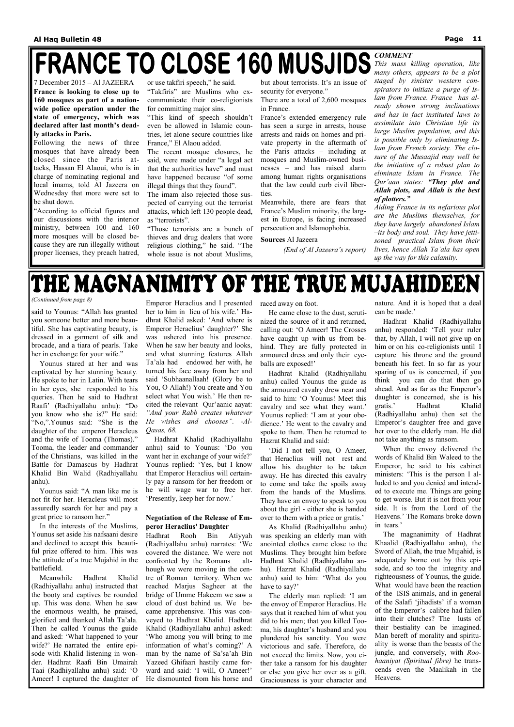7 December 2015 – Al JAZEERA **France is looking to close up to 160 mosques as part of a nationwide police operation under the state of emergency, which was declared after last month's deadly attacks in Paris.**

Following the news of three mosques that have already been closed since the Paris attacks, Hassan El Alaoui, who is in charge of nominating regional and local imams, told Al Jazeera on Wednesday that more were set to be shut down.

"According to official figures and our discussions with the interior ministry, between 100 and 160 more mosques will be closed because they are run illegally without proper licenses, they preach hatred,

or use takfiri speech," he said.

"Takfiris" are Muslims who excommunicate their co-religionists for committing major sins.

"This kind of speech shouldn't even be allowed in Islamic countries, let alone secure countries like France," El Alaou added.

## FRANCE TO CLOSE 160 MUSJIDS *COMMENT*

The recent mosque closures, he said, were made under "a legal act that the authorities have" and must have happened because "of some illegal things that they found".

The imam also rejected those suspected of carrying out the terrorist attacks, which left 130 people dead, as "terrorists".

"Those terrorists are a bunch of thieves and drug dealers that wore religious clothing," he said. "The whole issue is not about Muslims,

but about terrorists. It's an issue of security for everyone."

There are a total of 2,600 mosques in France.

France's extended emergency rule has seen a surge in arrests, house arrests and raids on homes and private property in the aftermath of the Paris attacks – including at mosques and Muslim-owned businesses – and has raised alarm among human rights organisations that the law could curb civil liberties.

Meanwhile, there are fears that France's Muslim minority, the largest in Europe, is facing increased persecution and Islamophobia.

**Sources** Al Jazeera

*(End of Al Jazeera's report)* 

*This mass killing operation, like many others, appears to be a plot staged by sinister western conspirators to initiate a purge of Islam from France. France has already shown strong inclinations and has in fact instituted laws to assimilate into Christian life its large Muslim population, and this is possible only by eliminating Islam from French society. The closure of the Musaajid may well be the initiation of a robust plan to eliminate Islam in France. The Qur'aan states: "They plot and Allah plots, and Allah is the best of plotters."* 

*Aiding France in its nefarious plot are the Muslims themselves, for they have largely abandoned Islam –its body and soul. They have jettisoned practical Islam from their lives, hence Allah Ta'ala has open up the way for this calamity.*

# THE MAGNANIMITY OF THE TRUE MUJAHIDEEN

said to Younus: "Allah has granted you someone better and more beautiful. She has captivating beauty, is dressed in a garment of silk and brocade, and a tiara of pearls. Take her in exchange for your wife."

 Younus stared at her and was captivated by her stunning beauty. He spoke to her in Latin. With tears in her eyes, she responded to his queries. Then he said to Hadhrat Raafi' (Radhiyallahu anhu): "Do you know who she is?" He said: "No,".Younus said: "She is the daughter of the emperor Heracleus and the wife of Tooma (Thomas)." Tooma, the leader and commander of the Christians, was killed in the Battle for Damascus by Hadhrat Khalid Bin Walid (Radhiyallahu anhu).

 Younus said: "A man like me is not fit for her. Heracleus will most assuredly search for her and pay a great price to ransom her."

 In the interests of the Muslims, Younus set aside his nafsaani desire and declined to accept this beautiful prize offered to him. This was the attitude of a true Mujahid in the battlefield. Meanwhile Hadhrat Khalid (Radhiyallahu anhu) instructed that the booty and captives be rounded up. This was done. When he saw the enormous wealth, he praised, glorified and thanked Allah Ta'ala. Then he called Younus the guide and asked: 'What happened to your wife?' He narrated the entire episode with Khalid listening in wonder. Hadhrat Raafi Bin Umairah Taai (Radhiyallahu anhu) said: 'O Ameer! I captured the daughter of

Emperor Heraclius and I presented her to him in lieu of his wife.' Hadhrat Khalid asked: 'And where is Emperor Heraclius' daughter?' She was ushered into his presence. When he saw her beauty and looks, and what stunning features Allah Ta'ala had endowed her with, he turned his face away from her and said 'Subhaanallaah! (Glory be to You, O Allah!) You create and You select what You wish.' He then recited the relevant Qur'aanic aayat: *"And your Rabb creates whatever He wishes and chooses". -Al-Qasas, 68.* 

 Hadhrat Khalid (Radhiyallahu anhu) said to Younus: 'Do you want her in exchange of your wife?' Younus replied: 'Yes, but I know that Emperor Heraclius will certainly pay a ransom for her freedom or he will wage war to free her. 'Presently, keep her for now.'

#### **Negotiation of the Release of Emperor Heraclius' Daughter**

Hadhrat Rooh Bin Atiyyah (Radhiyallahu anhu) narrates: 'We covered the distance. We were not confronted by the Romans although we were moving in the centre of Roman territory. When we reached Marjus Sagheer at the bridge of Umme Hakeem we saw a cloud of dust behind us. We became apprehensive. This was conveyed to Hadhrat Khalid. Hadhrat Khalid (Radhiyallahu anhu) asked: 'Who among you will bring to me information of what's coming?' A man by the name of Sa'sa'ah Bin Yazeed Ghifaari hastily came forward and said: 'I will, O Ameer!' He dismounted from his horse and raced away on foot.

 He came close to the dust, scrutinized the source of it and returned, calling out: 'O Ameer! The Crosses have caught up with us from behind. They are fully protected in armoured dress and only their eyeballs are exposed!'

 Hadhrat Khalid (Radhiyallahu anhu) called Younus the guide as the armoured cavalry drew near and said to him: 'O Younus! Meet this cavalry and see what they want.' Younus replied: 'I am at your obedience.' He went to the cavalry and spoke to them. Then he returned to Hazrat Khalid and said:

 'Did I not tell you, O Ameer, that Heraclius will not rest and allow his daughter to be taken away. He has directed this cavalry to come and take the spoils away from the hands of the Muslims. They have an envoy to speak to you about the girl - either she is handed over to them with a price or gratis.'

 As Khalid (Radhiyallahu anhu) was speaking an elderly man with anointed clothes came close to the

Muslims. They brought him before Hadhrat Khalid (Radhiyallahu anhu). Hazrat Khalid (Radhiyallahu anhu) said to him: 'What do you have to say?'

 The elderly man replied: 'I am the envoy of Emperor Heraclius. He says that it reached him of what you did to his men; that you killed Tooma, his daughter's husband and you plundered his sanctity. You were victorious and safe. Therefore, do not exceed the limits. Now, you either take a ransom for his daughter or else you give her over as a gift. Graciousness is your character and

nature. And it is hoped that a deal can be made.'

 Hadhrat Khalid (Radhiyallahu anhu) responded: 'Tell your ruler that, by Allah, I will not give up on him or on his co-religionists until I capture his throne and the ground beneath his feet. In so far as your sparing of us is concerned, if you think you can do that then go ahead. And as far as the Emperor's daughter is concerned, she is his gratis.' Hadhrat Khalid (Radhiyallahu anhu) then set the Emperor's daughter free and gave her over to the elderly man. He did not take anything as ransom.

 When the envoy delivered the words of Khalid Bin Waleed to the Emperor, he said to his cabinet ministers: 'This is the person I alluded to and you denied and intended to execute me. Things are going to get worse. But it is not from your side. It is from the Lord of the Heavens.' The Romans broke down in tears.'

 The magnanimity of Hadhrat Khaalid (Radhiyallahu anhu), the Sword of Allah, the true Mujahid, is adequately borne out by this episode, and so too the integrity and righteousness of Younus, the guide. What would have been the reaction of the ISIS animals, and in general of the Salafi 'jihadists' if a woman of the Emperor's calibre had fallen into their clutches? The lusts of their bestiality can be imagined. Man bereft of morality and spirituality is worse than the beasts of the jungle, and conversely, with *Roohaaniyat (Spiritual fibre)* he transcends even the Maalikah in the Heavens.

*(Continued from page 8)*